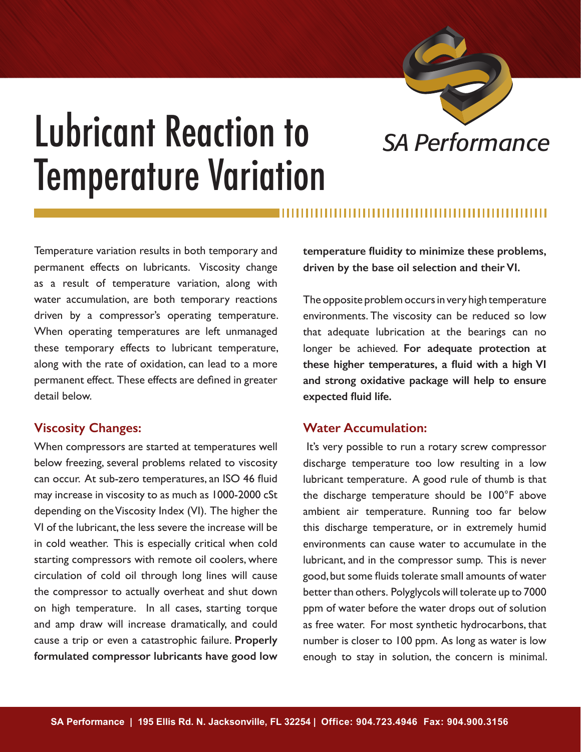

## Lubricant Reaction to *SA Performance* Temperature Variation

Temperature variation results in both temporary and permanent effects on lubricants. Viscosity change **temperature fluidity to minimize these problems, driven by the base oil selection and their VI.** 

as a result of temperature variation, along with water accumulation, are both temporary reactions driven by a compressor's operating temperature. When operating temperatures are left unmanaged these temporary effects to lubricant temperature, along with the rate of oxidation, can lead to a more permanent effect. These effects are defined in greater detail below.

## **Viscosity Changes:**

When compressors are started at temperatures well below freezing, several problems related to viscosity can occur. At sub-zero temperatures, an ISO 46 fluid may increase in viscosity to as much as 1000-2000 cSt depending on the Viscosity Index (VI). The higher the VI of the lubricant, the less severe the increase will be in cold weather. This is especially critical when cold starting compressors with remote oil coolers, where circulation of cold oil through long lines will cause the compressor to actually overheat and shut down on high temperature. In all cases, starting torque and amp draw will increase dramatically, and could cause a trip or even a catastrophic failure. **Properly formulated compressor lubricants have good low** 

The opposite problem occurs in very high temperature environments. The viscosity can be reduced so low that adequate lubrication at the bearings can no longer be achieved. **For adequate protection at these higher temperatures, a fluid with a high VI and strong oxidative package will help to ensure expected fluid life.**

## **Water Accumulation:**

 It's very possible to run a rotary screw compressor discharge temperature too low resulting in a low lubricant temperature. A good rule of thumb is that the discharge temperature should be 100°F above ambient air temperature. Running too far below this discharge temperature, or in extremely humid environments can cause water to accumulate in the lubricant, and in the compressor sump. This is never good, but some fluids tolerate small amounts of water better than others. Polyglycols will tolerate up to 7000 ppm of water before the water drops out of solution as free water. For most synthetic hydrocarbons, that number is closer to 100 ppm. As long as water is low enough to stay in solution, the concern is minimal.